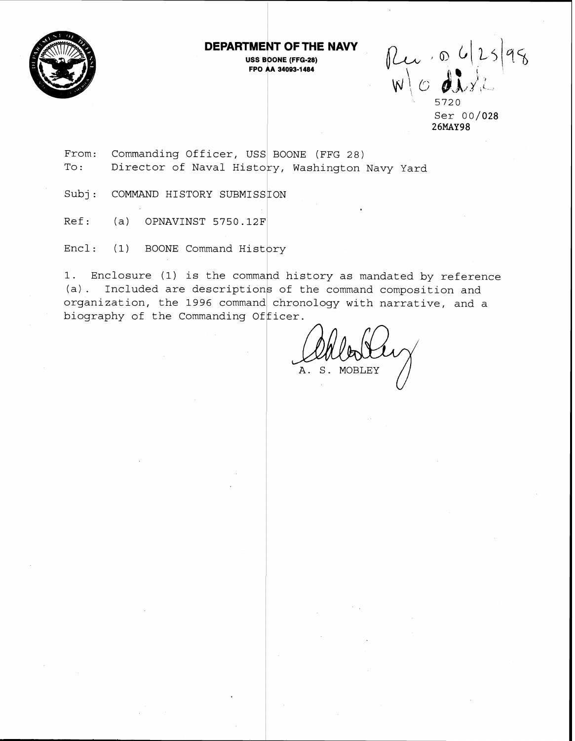

### **DEPARTMENT OF THE WAVY**

**USS BOONE (FFG-28) FPO AA 34093-1 484** 

 $\n *Reu* \cdot \n *ol* 25\n *isl* \n *di* \n *di* \n *di*$ 

**5720**  Ser **00/028 26MAY98** 

From: Commanding Officer, USS BOONE (FFG 28) To: Director of Naval History, Washington Navy Yard

Subj: COMMAND HISTORY SUBMISSION

Ref: (a) OPNAVINST 5750.12F

Encl: (1) BOONE Command History

1. Enclosure (1) is the command history as mandated by reference (a). Included are descriptions of the command composition and organization, the 1996 command chronology with narrative, and a biography of the Commanding Officer.

A. S. MOBLEY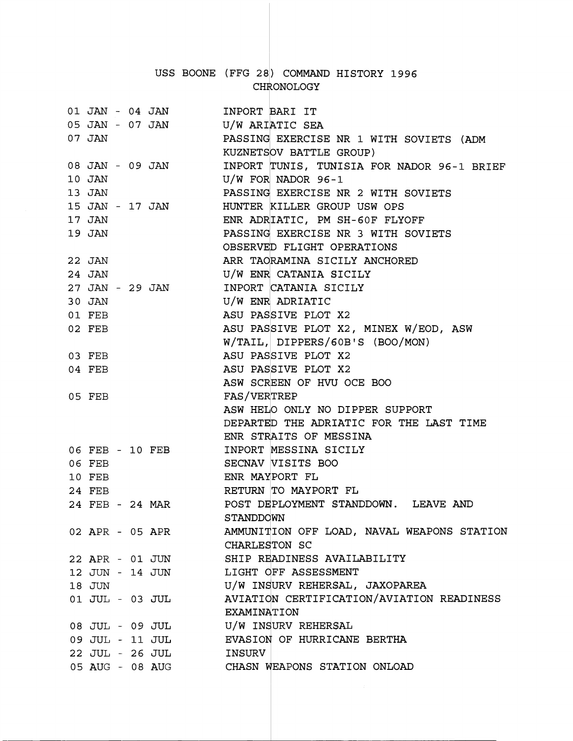# USS BOONE (FFG 28) COMMAND HISTORY 1996 CHRONOLOGY

|        |  | 01 JAN - 04 JAN     | INPORT BARI IT                                         |
|--------|--|---------------------|--------------------------------------------------------|
|        |  | 05 JAN - 07 JAN     | U/W ARIATIC SEA                                        |
| 07 JAN |  |                     | PASSING EXERCISE NR 1 WITH SOVIETS (ADM                |
|        |  |                     | KUZNETSOV BATTLE GROUP)                                |
|        |  | 08 JAN - 09 JAN     | INPORT TUNIS, TUNISIA FOR NADOR 96-1 BRIEF             |
| 10 JAN |  |                     | $U/W$ FOR NADOR 96-1                                   |
| 13 JAN |  |                     | PASSING EXERCISE NR 2 WITH SOVIETS                     |
|        |  | 15 JAN - 17 JAN     | HUNTER KILLER GROUP USW OPS                            |
| 17 JAN |  |                     | ENR ADRIATIC, PM SH-60F FLYOFF                         |
| 19 JAN |  |                     | PASSING EXERCISE NR 3 WITH SOVIETS                     |
|        |  |                     | OBSERVED FLIGHT OPERATIONS                             |
| 22 JAN |  |                     | ARR TAORAMINA SICILY ANCHORED                          |
| 24 JAN |  |                     | U/W ENR CATANIA SICILY                                 |
|        |  | 27 JAN - 29 JAN     | INPORT CATANIA SICILY                                  |
| 30 JAN |  |                     | U/W ENR ADRIATIC                                       |
| 01 FEB |  |                     | ASU PASSIVE PLOT X2                                    |
| 02 FEB |  |                     | ASU PASSIVE PLOT X2, MINEX W/EOD, ASW                  |
|        |  |                     | W/TAIL, DIPPERS/60B'S (BOO/MON)                        |
| 03 FEB |  |                     | ASU PASSIVE PLOT X2                                    |
| 04 FEB |  |                     | ASU PASSIVE PLOT X2                                    |
|        |  |                     | ASW SCREEN OF HVU OCE BOO                              |
| 05 FEB |  |                     | FAS/VERTREP                                            |
|        |  |                     | ASW HELO ONLY NO DIPPER SUPPORT                        |
|        |  |                     | DEPARTED THE ADRIATIC FOR THE LAST TIME                |
|        |  |                     | ENR STRAITS OF MESSINA                                 |
|        |  | 06 FEB - 10 FEB     | INPORT MESSINA SICILY                                  |
| 06 FEB |  |                     | SECNAV VISITS BOO                                      |
| 10 FEB |  |                     | ENR MAYPORT FL                                         |
| 24 FEB |  |                     | RETURN TO MAYPORT FL                                   |
|        |  |                     |                                                        |
|        |  |                     |                                                        |
|        |  | 24 FEB - 24 MAR     | POST DEPLOYMENT STANDDOWN. LEAVE AND                   |
|        |  |                     | STANDDOWN                                              |
|        |  | 02 APR - 05 APR     | AMMUNITION OFF LOAD, NAVAL WEAPONS STATION             |
|        |  |                     | CHARLESTON SC                                          |
|        |  | 22 APR - 01 JUN     | SHIP READINESS AVAILABILITY                            |
|        |  | 12 JUN - 14 JUN     | LIGHT OFF ASSESSMENT                                   |
| 18 JUN |  |                     | U/W INSURV REHERSAL, JAXOPAREA                         |
|        |  | $01$ JUL - $03$ JUL | AVIATION CERTIFICATION/AVIATION READINESS              |
|        |  |                     | EXAMINATION                                            |
|        |  | 08 JUL - 09 JUL     | U/W INSURV REHERSAL                                    |
|        |  |                     | 09 JUL - 11 JUL EVASION OF HURRICANE BERTHA            |
|        |  | 22 JUL - 26 JUL     | INSURV<br>05 AUG - 08 AUG CHASN WEAPONS STATION ONLOAD |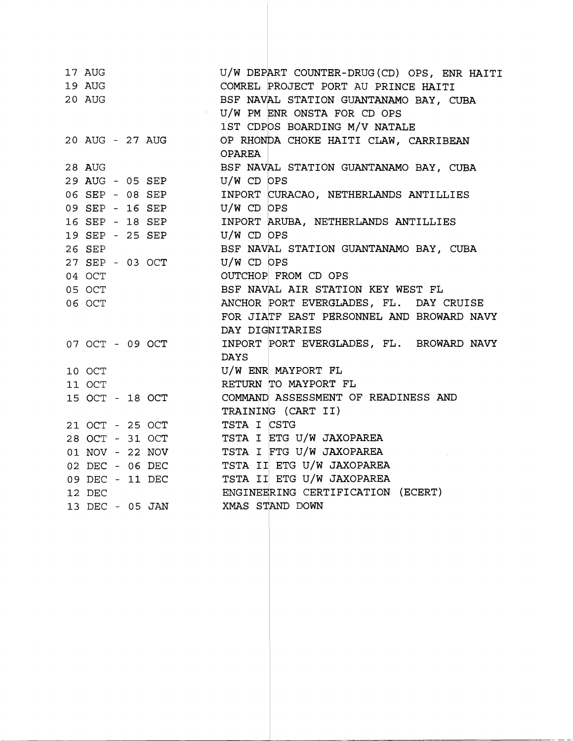| 17 AUG<br>19 AUG<br>20 AUG |  | $\sim 1000$ km s $^{-1}$ | U/W DEPART COUNTER-DRUG(CD) OPS, ENR HAITI<br>COMREL PROJECT PORT AU PRINCE HAITI<br>BSF NAVAL STATION GUANTANAMO BAY, CUBA<br>U/W PM ENR ONSTA FOR CD OPS<br>1ST CDPOS BOARDING M/V NATALE |
|----------------------------|--|--------------------------|---------------------------------------------------------------------------------------------------------------------------------------------------------------------------------------------|
|                            |  | 20 AUG - 27 AUG          | OP RHONDA CHOKE HAITI CLAW, CARRIBEAN<br><b>OPAREA</b>                                                                                                                                      |
| 28 AUG                     |  |                          | BSF NAVAL STATION GUANTANAMO BAY, CUBA                                                                                                                                                      |
|                            |  | 29 AUG - 05 SEP          | $U/W$ CD OPS                                                                                                                                                                                |
|                            |  | 06 SEP - 08 SEP          | INPORT CURACAO, NETHERLANDS ANTILLIES                                                                                                                                                       |
|                            |  | 09 SEP - 16 SEP          | U/W CD OPS                                                                                                                                                                                  |
|                            |  | 16 SEP - 18 SEP          | INPORT ARUBA, NETHERLANDS ANTILLIES                                                                                                                                                         |
|                            |  | 19 SEP - 25 SEP          | $U/W$ CD OPS                                                                                                                                                                                |
| 26 SEP                     |  |                          | BSF NAVAL STATION GUANTANAMO BAY, CUBA                                                                                                                                                      |
|                            |  | 27 SEP - 03 OCT          | $U/W$ CD OPS                                                                                                                                                                                |
| 04 OCT                     |  |                          | OUTCHOP FROM CD OPS                                                                                                                                                                         |
| 05 OCT                     |  |                          | BSF NAVAL AIR STATION KEY WEST FL                                                                                                                                                           |
| 06 OCT                     |  |                          | ANCHOR PORT EVERGLADES, FL. DAY CRUISE                                                                                                                                                      |
|                            |  |                          | FOR JIATF EAST PERSONNEL AND BROWARD NAVY                                                                                                                                                   |
|                            |  |                          | DAY DIGNITARIES                                                                                                                                                                             |
|                            |  | 07 OCT - 09 OCT          | INPORT PORT EVERGLADES, FL. BROWARD NAVY                                                                                                                                                    |
|                            |  |                          | <b>DAYS</b>                                                                                                                                                                                 |
| 10 OCT                     |  |                          | U/W ENR MAYPORT FL                                                                                                                                                                          |
| 11 OCT                     |  |                          | RETURN TO MAYPORT FL                                                                                                                                                                        |
|                            |  | 15 OCT - 18 OCT          | COMMAND ASSESSMENT OF READINESS AND                                                                                                                                                         |
|                            |  |                          | TRAINING (CART II)                                                                                                                                                                          |
|                            |  | 21 OCT - 25 OCT          | TSTA I CSTG                                                                                                                                                                                 |
|                            |  | 28 OCT - 31 OCT          | TSTA I ETG U/W JAXOPAREA                                                                                                                                                                    |
|                            |  | 01 NOV - 22 NOV          | TSTA I FTG U/W JAXOPAREA                                                                                                                                                                    |
|                            |  | 02 DEC - 06 DEC          | TSTA II ETG U/W JAXOPAREA                                                                                                                                                                   |
|                            |  | 09 DEC - 11 DEC          | TSTA II ETG U/W JAXOPAREA                                                                                                                                                                   |
| 12 DEC                     |  |                          | ENGINEERING CERTIFICATION (ECERT)                                                                                                                                                           |
|                            |  |                          | 13 DEC - 05 JAN XMAS STAND DOWN                                                                                                                                                             |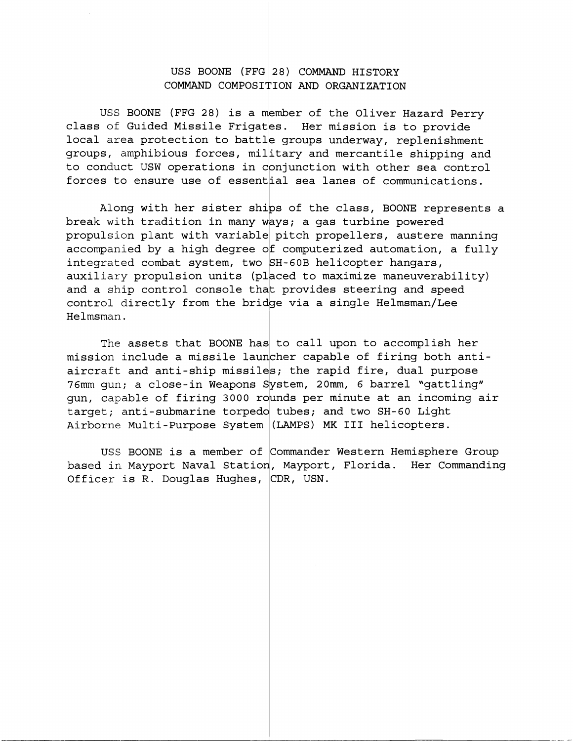#### USS BOONE (FFG 28) COMMAND HISTORY COMMAND COMPOSITION AND ORGANIZATION

USS BOONE (FFG 28) is a member of the Oliver Hazard Perry class of Guided Missile Frigates. Her mission is to provide local area protection to battle groups underway, replenishment groups, amphibious forces, military and mercantile shipping and to conduct USW operations in conjunction with other sea control forces to ensure use of essential sea lanes of communications.

Along with her sister ships of the class, BOONE represents a break with tradition in many ways; a gas turbine powered propulsion plant with variable pitch propellers, austere manning accompanied by a high degree of computerized automation, a fully integrated combat system, two SH-60B helicopter hangars, auxiliary propulsion units (placed to maximize maneuverability) and a ship control console that provides steering and speed control directly from the bridge via a single Helmsman/Lee Helmsman.

The assets that BOONE has to call upon to accomplish her mission include a missile launcher capable of firing both antiaircraft and anti-ship missiles; the rapid fire, dual purpose 76mm gun; a close-in Weapons System, 20mm, 6 barrel "gattling" gun, capable of firing 3000 rounds per minute at an incoming air target; anti-submarine torpedo tubes; and two SH-60 Light Airborne Multi-Purpose System (LAMPS) MK III helicopters.

USS BOONE is a member of commander Western Hemisphere Group based in Mayport Naval Station, Mayport, Florida. Her Commanding Officer is R. Douglas Hughes, CDR, USN.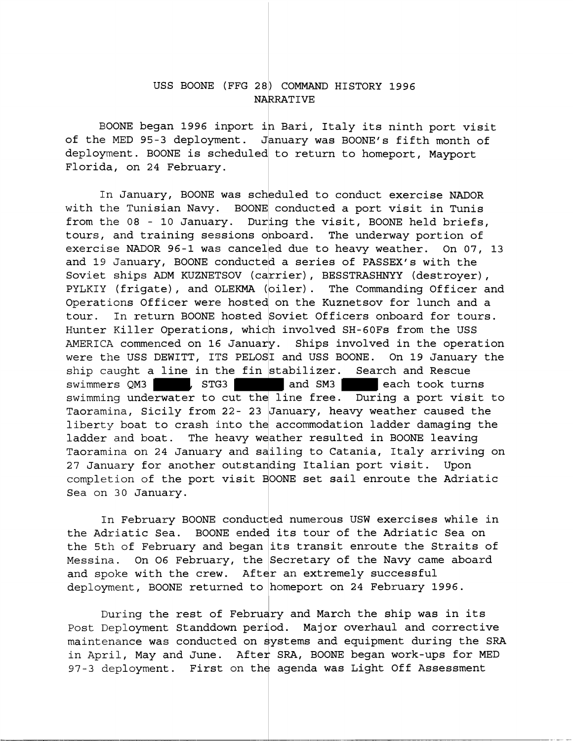### USS BOONE (FFG 28) COMMAND HISTORY 1996 NARRATIVE

BOONE began 1996 inport in Bari, Italy its ninth port visit of the MED 95-3 deployment. January was BOONE's fifth month of deployment. BOONE is scheduled to return to homeport, Mayport Florida, on 24 February.

In January, BOONE was scheduled to conduct exercise NADOR with the Tunisian Navy. BOONE conducted a port visit in Tunis from the 08 - 10 January. During the visit, BOONE held briefs, tours, and training sessions onboard. The underway portion of exercise NADOR 96-1 was canceled due to heavy weather. On 07, 13 and 19 January, BOONE conducted a series of PASSEX's with the Soviet ships ADM KUZNETSOV (carrier), BESSTRASHNYY (destroyer), PYLKIY (frigate), and OLEKMA (oiler). The Commanding Officer and Operations Officer were hosted on the Kuznetsov for lunch and a tour. In return BOONE hosted Soviet Officers onboard for tours. Hunter Killer Operations, which involved SH-6OFs from the USS AMERICA commenced on 16 January. Ships involved in the operation were the USS DEWITT, ITS PELOSI and USS BOONE. On 19 January the ship caught a line in the fin stabilizer. Search and Rescue swimmers QM3 , STG3 and SM3 each took turns swimming underwater to cut the line free. During a port visit to Taoramina, Sicily from 22- 23 January, heavy weather caused the liberty boat to crash into the accommodation ladder damaging the ladder and boat. The heavy weather resulted in BOONE leaving Taoramina on 24 January and sailing to Catania, Italy arriving on 27 January for another outstanding Italian port visit. Upon completion of the port visit BOONE set sail enroute the Adriatic Sea on 30 January.

In February BOONE conducted numerous USW exercises while in the Adriatic Sea. BOONE ended its tour of the Adriatic Sea on the 5th of February and began its transit enroute the Straits of Messina. On O6 February, the Secretary of the Navy came aboard and spoke with the crew. After an extremely successful deployment, BOONE returned to homeport on 24 February 1996.

During the rest of February and March the ship was in its Post Deployment Standdown period. Major overhaul and corrective maintenance was conducted on systems and equipment during the SRA in April., May and June. After SRA, BOONE began work-ups for MED 97-3 deployment. First on the agenda was Light Off Assessment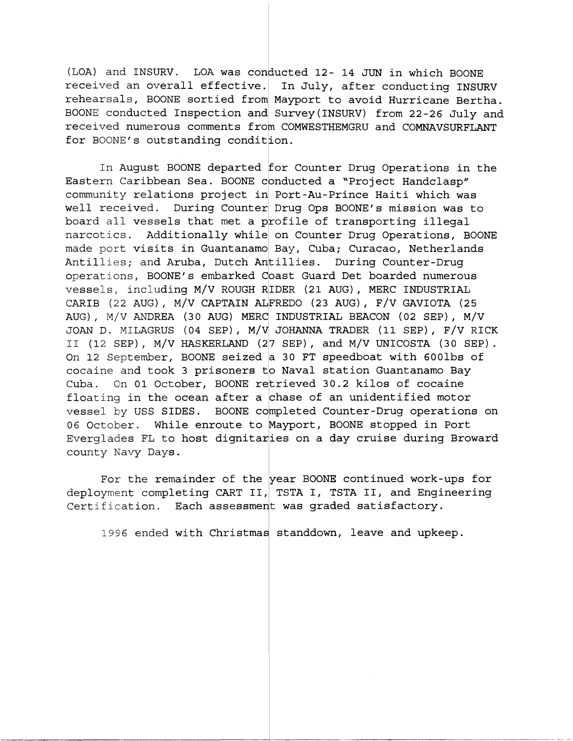(LOA) and INSURV. LOA was conducted 12- 14 JUN in which BOONE received an overall effective. In July, after conducting INSURV rehearsals, BOONE sortied from Mayport to avoid Hurricane Bertha. BOONE conducted Inspection and Survey(1NSURV) from 22-26 July and received numerous comments from COMWESTHEMGRU and COMNAVSURFLANT for BOONE's outstanding condition.

In August BOONE departed for Counter Drug Operations in the Eastern Caribbean Sea. BOONE conducted a "Project Handclasp" community relations project in Port-Au-Prince Haiti which was well received. During Counter Drug Ops BOONE's mission was to board all vessels that met a profile of transporting illegal narcotics. Additionally while on Counter Drug Operations, BOONE made port **visits in Guantanamo** Bay, Cub**a; Curacao, Netherlands** board all vessels that met a profile of transporting lilegal<br>narcotics. Additionally while on Counter Drug Operations, BO<br>made port visits in Guantanamo Bay, Cuba; Curacao, Netherland<br>Antillies; and Aruba, Dutch Antillies. operations, BOONE's embarked Coast Guard Det boarded numerous vessels, including M/V ROUGH RIDER (21 AUG), MERC INDUSTRIAL CARIB (22 AUG), M/V CAPTAIN ALFRED0 (23 AUG), F/V GAVIOTA (25 AUG) , M/V ANDREA (30 AUG) MERC INDUSTRIAL BEACON (02 SEP) , M/V JOAN D. MILAGRUS (04 SEP), M/V JOHANNA TRADER (11 SEP), F/V RICK 11 (12 SEP) , M/V HASKERLAND (27 SEP) , and M/V UNICOSTA (30 SEP) . On 12 September, BOONE seized a 30 FT speedboat with 600lbs of county Navy Days. II (12 SEP), M/V HASKERLAND (27 SEP), and M/V UNICOSTA (30 SE.<br>On 12 September, BOONE seized a 30 FT speedboat with 600lbs o<br>cocaine and took 3 prisoners to Naval station Guantanamo Bay Cuba. On 01 October, BOONE retrieved 30.2 kilos of cocaine floating in the ocean after a chase of an unidentified motor vessel by USS SIDES. BOONE completed Counter-Drug operations on 06 October. While enroute to Mayport, BOONE stopped in Port Everglades FL to host dignitaries on a day cruise during Broward

For. the remainder of the year BOONE continued work-ups for deployment completing CART II, TSTA I, TSTA II, and Engineering Certification. Each assessment was graded satisfactory.

1996 ended with Christmas standdown, leave and upkeep.